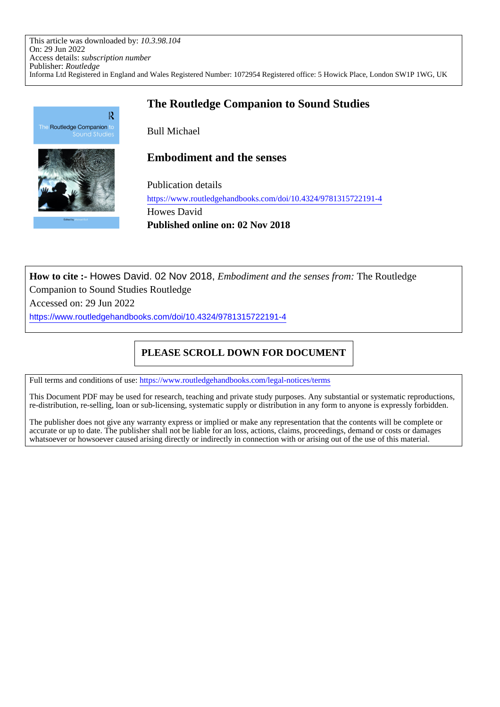This article was downloaded by: *10.3.98.104* On: 29 Jun 2022 Access details: *subscription number* Publisher: *Routledge* Informa Ltd Registered in England and Wales Registered Number: 1072954 Registered office: 5 Howick Place, London SW1P 1WG, UK



# **The Routledge Companion to Sound Studies**

Bull Michael

**Embodiment and the senses**

Publication details https://www.routledgehandbooks.com/doi/10.4324/9781315722191-4 Howes David **Published online on: 02 Nov 2018**

**How to cite :-** Howes David. 02 Nov 2018, *Embodiment and the senses from:* The Routledge Companion to Sound Studies Routledge

Accessed on: 29 Jun 2022

https://www.routledgehandbooks.com/doi/10.4324/9781315722191-4

# **PLEASE SCROLL DOWN FOR DOCUMENT**

Full terms and conditions of use: https://www.routledgehandbooks.com/legal-notices/terms

This Document PDF may be used for research, teaching and private study purposes. Any substantial or systematic reproductions, re-distribution, re-selling, loan or sub-licensing, systematic supply or distribution in any form to anyone is expressly forbidden.

The publisher does not give any warranty express or implied or make any representation that the contents will be complete or accurate or up to date. The publisher shall not be liable for an loss, actions, claims, proceedings, demand or costs or damages whatsoever or howsoever caused arising directly or indirectly in connection with or arising out of the use of this material.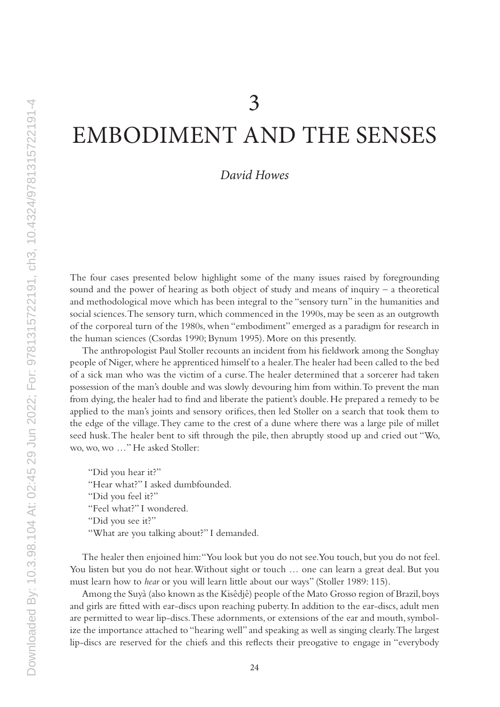# EMBODIMENT AND THE SENSES

# *David Howes*

The four cases presented below highlight some of the many issues raised by foregrounding sound and the power of hearing as both object of study and means of inquiry – a theoretical and methodological move which has been integral to the "sensory turn" in the humanities and social sciences. The sensory turn, which commenced in the 1990s, may be seen as an outgrowth of the corporeal turn of the 1980s, when "embodiment" emerged as a paradigm for research in the human sciences (Csordas 1990; Bynum 1995). More on this presently.

The anthropologist Paul Stoller recounts an incident from his fieldwork among the Songhay people of Niger, where he apprenticed himself to a healer. The healer had been called to the bed of a sick man who was the victim of a curse. The healer determined that a sorcerer had taken possession of the man's double and was slowly devouring him from within. To prevent the man from dying, the healer had to find and liberate the patient's double. He prepared a remedy to be applied to the man's joints and sensory orifices, then led Stoller on a search that took them to the edge of the village. They came to the crest of a dune where there was a large pile of millet seed husk. The healer bent to sift through the pile, then abruptly stood up and cried out "Wo, wo, wo, wo …" He asked Stoller:

"Did you hear it?" "Hear what?" I asked dumbfounded. "Did you feel it?" "Feel what?" I wondered. "Did you see it?" "What are you talking about?" I demanded.

The healer then enjoined him: "You look but you do not see. You touch, but you do not feel. You listen but you do not hear. Without sight or touch … one can learn a great deal. But you must learn how to *hear* or you will learn little about our ways" (Stoller 1989: 115).

Among the Suyà (also known as the Kisêdjê) people of the Mato Grosso region of Brazil, boys and girls are fitted with ear-discs upon reaching puberty. In addition to the ear-discs, adult men are permitted to wear lip-discs. These adornments, or extensions of the ear and mouth, symbolize the importance attached to "hearing well" and speaking as well as singing clearly. The largest lip-discs are reserved for the chiefs and this reflects their preogative to engage in "everybody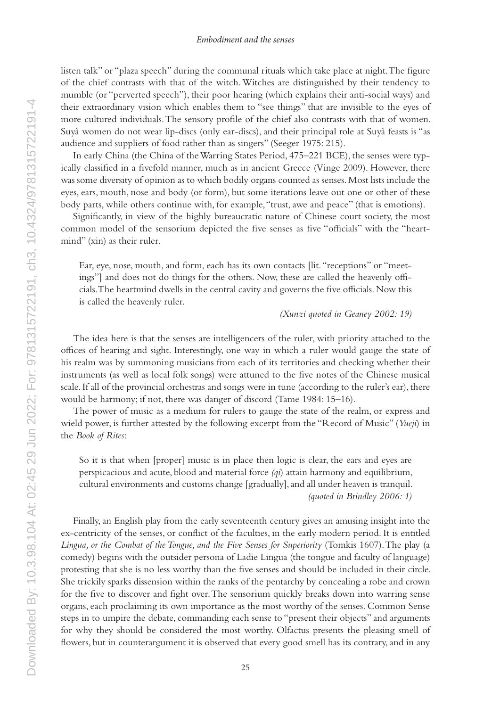listen talk" or "plaza speech" during the communal rituals which take place at night. The figure of the chief contrasts with that of the witch. Witches are distinguished by their tendency to mumble (or "perverted speech"), their poor hearing (which explains their anti-social ways) and their extraordinary vision which enables them to "see things" that are invisible to the eyes of more cultured individuals. The sensory profile of the chief also contrasts with that of women. Suyà women do not wear lip-discs (only ear-discs), and their principal role at Suyà feasts is "as audience and suppliers of food rather than as singers" (Seeger 1975: 215).

In early China (the China of the Warring States Period, 475–221 BCE), the senses were typically classified in a fivefold manner, much as in ancient Greece (Vinge 2009). However, there was some diversity of opinion as to which bodily organs counted as senses. Most lists include the eyes, ears, mouth, nose and body (or form), but some iterations leave out one or other of these body parts, while others continue with, for example, "trust, awe and peace" (that is emotions).

Significantly, in view of the highly bureaucratic nature of Chinese court society, the most common model of the sensorium depicted the five senses as five "officials" with the "heartmind" (xin) as their ruler.

Ear, eye, nose, mouth, and form, each has its own contacts [lit. "receptions" or "meetings"] and does not do things for the others. Now, these are called the heavenly officials. The heartmind dwells in the central cavity and governs the five officials. Now this is called the heavenly ruler.

*(Xunzi quoted in Geaney 2002: 19)*

The idea here is that the senses are intelligencers of the ruler, with priority attached to the offices of hearing and sight. Interestingly, one way in which a ruler would gauge the state of his realm was by summoning musicians from each of its territories and checking whether their instruments (as well as local folk songs) were attuned to the five notes of the Chinese musical scale. If all of the provincial orchestras and songs were in tune (according to the ruler's ear), there would be harmony; if not, there was danger of discord (Tame 1984: 15–16).

The power of music as a medium for rulers to gauge the state of the realm, or express and wield power, is further attested by the following excerpt from the "Record of Music" (*Yueji*) in the *Book of Rites*:

So it is that when [proper] music is in place then logic is clear, the ears and eyes are perspicacious and acute, blood and material force *(qi*) attain harmony and equilibrium, cultural environments and customs change [gradually], and all under heaven is tranquil. *(quoted in Brindley 2006: 1)*

Finally, an English play from the early seventeenth century gives an amusing insight into the ex-centricity of the senses, or conflict of the faculties, in the early modern period. It is entitled *Lingua, or the Combat of the Tongue, and the Five Senses for Superiority* (Tomkis 1607). The play (a comedy) begins with the outsider persona of Ladie Lingua (the tongue and faculty of language) protesting that she is no less worthy than the five senses and should be included in their circle. She trickily sparks dissension within the ranks of the pentarchy by concealing a robe and crown for the five to discover and fight over. The sensorium quickly breaks down into warring sense organs, each proclaiming its own importance as the most worthy of the senses. Common Sense steps in to umpire the debate, commanding each sense to "present their objects" and arguments for why they should be considered the most worthy. Olfactus presents the pleasing smell of flowers, but in counterargument it is observed that every good smell has its contrary, and in any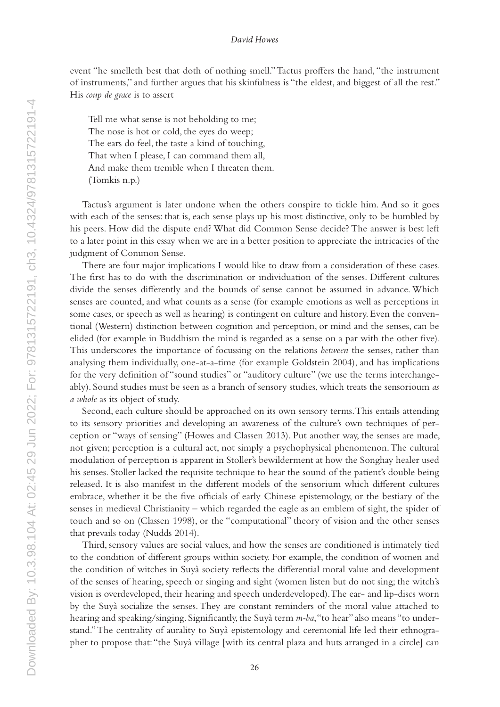event "he smelleth best that doth of nothing smell." Tactus proffers the hand, "the instrument of instruments," and further argues that his skinfulness is "the eldest, and biggest of all the rest." His *coup de grace* is to assert

Tell me what sense is not beholding to me; The nose is hot or cold, the eyes do weep; The ears do feel, the taste a kind of touching, That when I please, I can command them all, And make them tremble when I threaten them. (Tomkis n.p.)

Tactus's argument is later undone when the others conspire to tickle him. And so it goes with each of the senses: that is, each sense plays up his most distinctive, only to be humbled by his peers. How did the dispute end? What did Common Sense decide? The answer is best left to a later point in this essay when we are in a better position to appreciate the intricacies of the judgment of Common Sense.

There are four major implications I would like to draw from a consideration of these cases. The first has to do with the discrimination or individuation of the senses. Different cultures divide the senses differently and the bounds of sense cannot be assumed in advance. Which senses are counted, and what counts as a sense (for example emotions as well as perceptions in some cases, or speech as well as hearing) is contingent on culture and history. Even the conventional (Western) distinction between cognition and perception, or mind and the senses, can be elided (for example in Buddhism the mind is regarded as a sense on a par with the other five). This underscores the importance of focussing on the relations *between* the senses, rather than analysing them individually, one-at-a-time (for example Goldstein 2004), and has implications for the very definition of "sound studies" or "auditory culture" (we use the terms interchangeably). Sound studies must be seen as a branch of sensory studies, which treats the sensorioum *as a whole* as its object of study.

Second, each culture should be approached on its own sensory terms. This entails attending to its sensory priorities and developing an awareness of the culture's own techniques of perception or "ways of sensing" (Howes and Classen 2013). Put another way, the senses are made, not given; perception is a cultural act, not simply a psychophysical phenomenon. The cultural modulation of perception is apparent in Stoller's bewilderment at how the Songhay healer used his senses. Stoller lacked the requisite technique to hear the sound of the patient's double being released. It is also manifest in the different models of the sensorium which different cultures embrace, whether it be the five officials of early Chinese epistemology, or the bestiary of the senses in medieval Christianity – which regarded the eagle as an emblem of sight, the spider of touch and so on (Classen 1998), or the "computational" theory of vision and the other senses that prevails today (Nudds 2014).

Third, sensory values are social values, and how the senses are conditioned is intimately tied to the condition of different groups within society. For example, the condition of women and the condition of witches in Suyà society reflects the differential moral value and development of the senses of hearing, speech or singing and sight (women listen but do not sing; the witch's vision is overdeveloped, their hearing and speech underdeveloped). The ear- and lip-discs worn by the Suyà socialize the senses. They are constant reminders of the moral value attached to hearing and speaking/singing. Significantly, the Suyà term *m-ba*, "to hear" also means "to understand." The centrality of aurality to Suyà epistemology and ceremonial life led their ethnographer to propose that: "the Suyà village [with its central plaza and huts arranged in a circle] can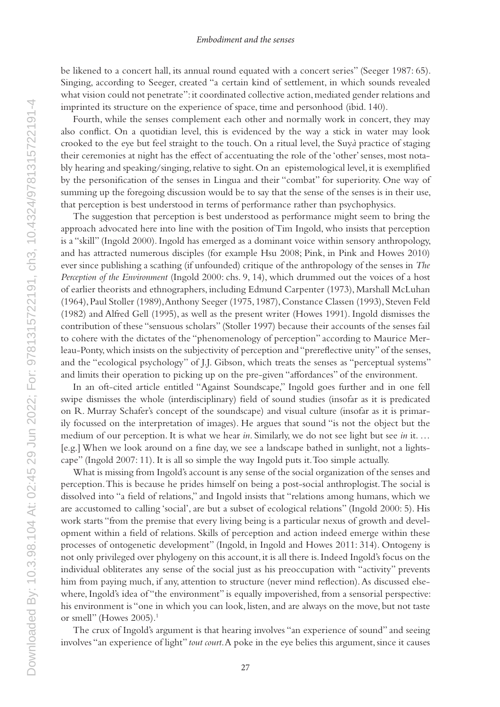#### *Embodiment and the senses*

be likened to a concert hall, its annual round equated with a concert series" (Seeger 1987: 65). Singing, according to Seeger, created "a certain kind of settlement, in which sounds revealed what vision could not penetrate": it coordinated collective action, mediated gender relations and imprinted its structure on the experience of space, time and personhood (ibid. 140).

Fourth, while the senses complement each other and normally work in concert, they may also conflict. On a quotidian level, this is evidenced by the way a stick in water may look crooked to the eye but feel straight to the touch. On a ritual level, the Suy*à* practice of staging their ceremonies at night has the effect of accentuating the role of the 'other' senses, most notably hearing and speaking/singing, relative to sight. On an epistemological level, it is exemplified by the personification of the senses in Lingua and their "combat" for superiority. One way of summing up the foregoing discussion would be to say that the sense of the senses is in their use, that perception is best understood in terms of performance rather than psychophysics.

The suggestion that perception is best understood as performance might seem to bring the approach advocated here into line with the position of Tim Ingold, who insists that perception is a "skill" (Ingold 2000). Ingold has emerged as a dominant voice within sensory anthropology, and has attracted numerous disciples (for example Hsu 2008; Pink, in Pink and Howes 2010) ever since publishing a scathing (if unfounded) critique of the anthropology of the senses in *The Perception of the Environment* (Ingold 2000: chs. 9, 14), which drummed out the voices of a host of earlier theorists and ethnographers, including Edmund Carpenter (1973), Marshall McLuhan (1964), Paul Stoller (1989), Anthony Seeger (1975, 1987), Constance Classen (1993), Steven Feld (1982) and Alfred Gell (1995), as well as the present writer (Howes 1991). Ingold dismisses the contribution of these "sensuous scholars" (Stoller 1997) because their accounts of the senses fail to cohere with the dictates of the "phenomenology of perception" according to Maurice Merleau-Ponty, which insists on the subjectivity of perception and "prereflective unity" of the senses, and the "ecological psychology" of J.J. Gibson, which treats the senses as "perceptual systems" and limits their operation to picking up on the pre-given "affordances" of the environment.

In an oft-cited article entitled "Against Soundscape," Ingold goes further and in one fell swipe dismisses the whole (interdisciplinary) field of sound studies (insofar as it is predicated on R. Murray Schafer's concept of the soundscape) and visual culture (insofar as it is primarily focussed on the interpretation of images). He argues that sound "is not the object but the medium of our perception. It is what we hear *in*. Similarly, we do not see light but see *in* it. … [e.g.] When we look around on a fine day, we see a landscape bathed in sunlight, not a lightscape" (Ingold 2007: 11). It is all so simple the way Ingold puts it. Too simple actually.

What is missing from Ingold's account is any sense of the social organization of the senses and perception. This is because he prides himself on being a post-social anthroplogist. The social is dissolved into "a field of relations," and Ingold insists that "relations among humans, which we are accustomed to calling 'social', are but a subset of ecological relations" (Ingold 2000: 5). His work starts "from the premise that every living being is a particular nexus of growth and development within a field of relations. Skills of perception and action indeed emerge within these processes of ontogenetic development" (Ingold, in Ingold and Howes 2011: 314). Ontogeny is not only privileged over phylogeny on this account, it is all there is. Indeed Ingold's focus on the individual obliterates any sense of the social just as his preoccupation with "activity" prevents him from paying much, if any, attention to structure (never mind reflection). As discussed elsewhere, Ingold's idea of "the environment" is equally impoverished, from a sensorial perspective: his environment is "one in which you can look, listen, and are always on the move, but not taste or smell" (Howes  $2005$ ).<sup>1</sup>

The crux of Ingold's argument is that hearing involves "an experience of sound" and seeing involves "an experience of light" *tout court*. A poke in the eye belies this argument, since it causes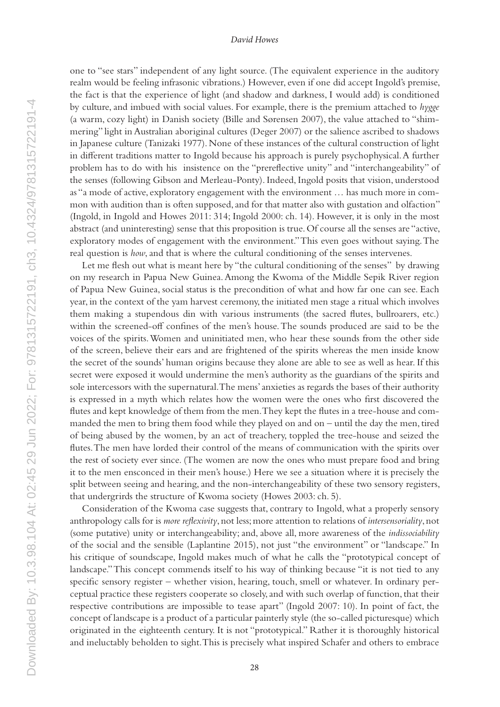one to "see stars" independent of any light source. (The equivalent experience in the auditory realm would be feeling infrasonic vibrations.) However, even if one did accept Ingold's premise, the fact is that the experience of light (and shadow and darkness, I would add) is conditioned by culture, and imbued with social values. For example, there is the premium attached to *hygge* (a warm, cozy light) in Danish society (Bille and Sørensen 2007), the value attached to "shimmering" light in Australian aboriginal cultures (Deger 2007) or the salience ascribed to shadows in Japanese culture (Tanizaki 1977). None of these instances of the cultural construction of light in different traditions matter to Ingold because his approach is purely psychophysical. A further problem has to do with his insistence on the "prereflective unity" and "interchangeability" of the senses (following Gibson and Merleau-Ponty). Indeed, Ingold posits that vision, understood as "a mode of active, exploratory engagement with the environment … has much more in common with audition than is often supposed, and for that matter also with gustation and olfaction" (Ingold, in Ingold and Howes 2011: 314; Ingold 2000: ch. 14). However, it is only in the most abstract (and uninteresting) sense that this proposition is true. Of course all the senses are "active, exploratory modes of engagement with the environment." This even goes without saying. The real question is *how*, and that is where the cultural conditioning of the senses intervenes.

Let me flesh out what is meant here by "the cultural conditioning of the senses" by drawing on my research in Papua New Guinea. Among the Kwoma of the Middle Sepik River region of Papua New Guinea, social status is the precondition of what and how far one can see. Each year, in the context of the yam harvest ceremony, the initiated men stage a ritual which involves them making a stupendous din with various instruments (the sacred flutes, bullroarers, etc.) within the screened-off confines of the men's house. The sounds produced are said to be the voices of the spirits. Women and uninitiated men, who hear these sounds from the other side of the screen, believe their ears and are frightened of the spirits whereas the men inside know the secret of the sounds' human origins because they alone are able to see as well as hear. If this secret were exposed it would undermine the men's authority as the guardians of the spirits and sole intercessors with the supernatural. The mens' anxieties as regards the bases of their authority is expressed in a myth which relates how the women were the ones who first discovered the flutes and kept knowledge of them from the men. They kept the flutes in a tree-house and commanded the men to bring them food while they played on and on – until the day the men, tired of being abused by the women, by an act of treachery, toppled the tree-house and seized the flutes. The men have lorded their control of the means of communication with the spirits over the rest of society ever since. (The women are now the ones who must prepare food and bring it to the men ensconced in their men's house.) Here we see a situation where it is precisely the split between seeing and hearing, and the non-interchangeability of these two sensory registers, that undergrirds the structure of Kwoma society (Howes 2003: ch. 5).

Consideration of the Kwoma case suggests that, contrary to Ingold, what a properly sensory anthropology calls for is *more reflexivity*, not less; more attention to relations of *intersensoriality*, not (some putative) unity or interchangeability; and, above all, more awareness of the *indissociability* of the social and the sensible (Laplantine 2015), not just "the environment" or "landscape." In his critique of soundscape, Ingold makes much of what he calls the "prototypical concept of landscape." This concept commends itself to his way of thinking because "it is not tied to any specific sensory register – whether vision, hearing, touch, smell or whatever. In ordinary perceptual practice these registers cooperate so closely, and with such overlap of function, that their respective contributions are impossible to tease apart" (Ingold 2007: 10). In point of fact, the concept of landscape is a product of a particular painterly style (the so-called picturesque) which originated in the eighteenth century. It is not "prototypical." Rather it is thoroughly historical and ineluctably beholden to sight. This is precisely what inspired Schafer and others to embrace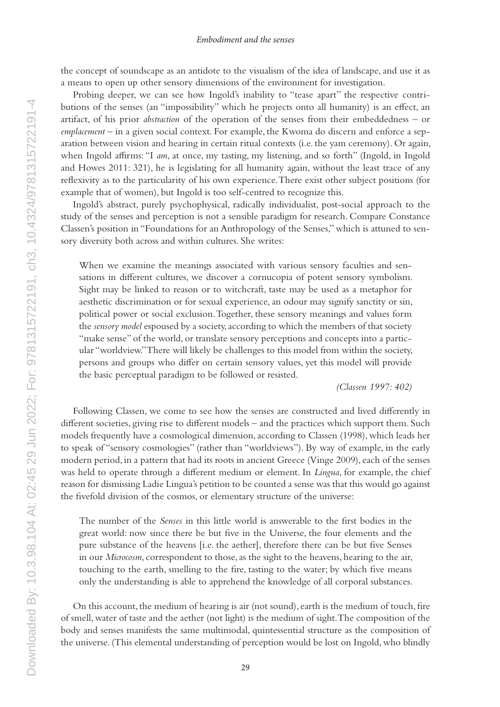#### *Embodiment and the senses*

the concept of soundscape as an antidote to the visualism of the idea of landscape, and use it as a means to open up other sensory dimensions of the environment for investigation.

Probing deeper, we can see how Ingold's inability to "tease apart" the respective contributions of the senses (an "impossibility" which he projects onto all humanity) is an effect, an artifact, of his prior *abstraction* of the operation of the senses from their embeddedness – or *emplacement* – in a given social context. For example, the Kwoma do discern and enforce a separation between vision and hearing in certain ritual contexts (i.e. the yam ceremony). Or again, when Ingold affirms: "I *am*, at once, my tasting, my listening, and so forth" (Ingold, in Ingold and Howes 2011: 321), he is legislating for all humanity again, without the least trace of any reflexivity as to the particularity of his own experience. There exist other subject positions (for example that of women), but Ingold is too self-centred to recognize this.

Ingold's abstract, purely psychophysical, radically individualist, post-social approach to the study of the senses and perception is not a sensible paradigm for research. Compare Constance Classen's position in "Foundations for an Anthropology of the Senses," which is attuned to sensory diversity both across and within cultures. She writes:

When we examine the meanings associated with various sensory faculties and sensations in different cultures, we discover a cornucopia of potent sensory symbolism. Sight may be linked to reason or to witchcraft, taste may be used as a metaphor for aesthetic discrimination or for sexual experience, an odour may signify sanctity or sin, political power or social exclusion. Together, these sensory meanings and values form the *sensory model* espoused by a society, according to which the members of that society "make sense" of the world, or translate sensory perceptions and concepts into a particular "worldview." There will likely be challenges to this model from within the society, persons and groups who differ on certain sensory values, yet this model will provide the basic perceptual paradigm to be followed or resisted.

*(Classen 1997: 402)*

Following Classen, we come to see how the senses are constructed and lived differently in different societies, giving rise to different models – and the practices which support them. Such models frequently have a cosmological dimension, according to Classen (1998), which leads her to speak of "sensory cosmologies" (rather than "worldviews"). By way of example, in the early modern period, in a pattern that had its roots in ancient Greece (Vinge 2009), each of the senses was held to operate through a different medium or element. In *Lingua*, for example, the chief reason for dismissing Ladie Lingua's petition to be counted a sense was that this would go against the fivefold division of the cosmos, or elementary structure of the universe:

The number of the *Senses* in this little world is answerable to the first bodies in the great world: now since there be but five in the Universe, the four elements and the pure substance of the heavens [i.e. the aether], therefore there can be but five Senses in our *Microcosm*, correspondent to those, as the sight to the heavens, hearing to the air, touching to the earth, smelling to the fire, tasting to the water; by which five means only the understanding is able to apprehend the knowledge of all corporal substances.

On this account, the medium of hearing is air (not sound), earth is the medium of touch, fire of smell, water of taste and the aether (not light) is the medium of sight. The composition of the body and senses manifests the same multimodal, quintessential structure as the composition of the universe. (This elemental understanding of perception would be lost on Ingold, who blindly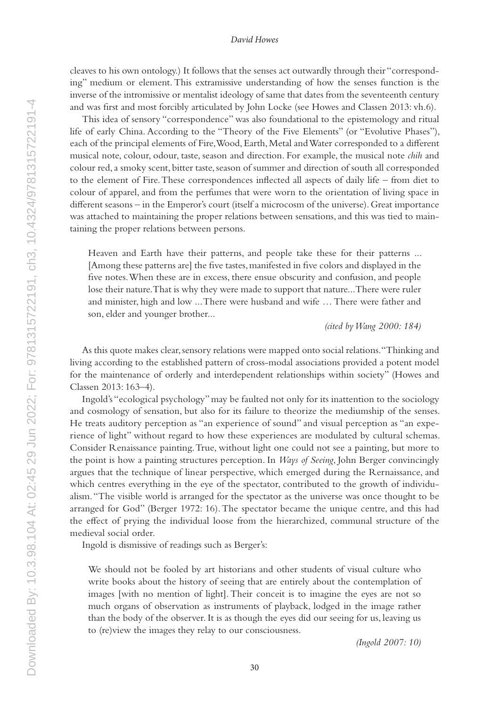cleaves to his own ontology.) It follows that the senses act outwardly through their "corresponding" medium or element. This extramissive understanding of how the senses function is the inverse of the intromissive or mentalist ideology of same that dates from the seventeenth century and was first and most forcibly articulated by John Locke (see Howes and Classen 2013: vh.6).

This idea of sensory "correspondence" was also foundational to the epistemology and ritual life of early China. According to the "Theory of the Five Elements" (or "Evolutive Phases"), each of the principal elements of Fire, Wood, Earth, Metal and Water corresponded to a different musical note, colour, odour, taste, season and direction. For example, the musical note *chih* and colour red, a smoky scent, bitter taste, season of summer and direction of south all corresponded to the element of Fire. These correspondences inflected all aspects of daily life – from diet to colour of apparel, and from the perfumes that were worn to the orientation of living space in different seasons – in the Emperor's court (itself a microcosm of the universe). Great importance was attached to maintaining the proper relations between sensations, and this was tied to maintaining the proper relations between persons.

Heaven and Earth have their patterns, and people take these for their patterns ... [Among these patterns are] the five tastes, manifested in five colors and displayed in the five notes. When these are in excess, there ensue obscurity and confusion, and people lose their nature. That is why they were made to support that nature... There were ruler and minister, high and low ... There were husband and wife … There were father and son, elder and younger brother...

*(cited by Wang 2000: 184)*

As this quote makes clear, sensory relations were mapped onto social relations. "Thinking and living according to the established pattern of cross-modal associations provided a potent model for the maintenance of orderly and interdependent relationships within society" (Howes and Classen 2013: 163–4).

Ingold's "ecological psychology" may be faulted not only for its inattention to the sociology and cosmology of sensation, but also for its failure to theorize the mediumship of the senses. He treats auditory perception as "an experience of sound" and visual perception as "an experience of light" without regard to how these experiences are modulated by cultural schemas. Consider Renaissance painting. True, without light one could not see a painting, but more to the point is how a painting structures perception. In *Ways of Seeing*, John Berger convincingly argues that the technique of linear perspective, which emerged during the Rernaissance, and which centres everything in the eye of the spectator, contributed to the growth of individualism. "The visible world is arranged for the spectator as the universe was once thought to be arranged for God" (Berger 1972: 16). The spectator became the unique centre, and this had the effect of prying the individual loose from the hierarchized, communal structure of the medieval social order.

Ingold is dismissive of readings such as Berger's:

We should not be fooled by art historians and other students of visual culture who write books about the history of seeing that are entirely about the contemplation of images [with no mention of light]. Their conceit is to imagine the eyes are not so much organs of observation as instruments of playback, lodged in the image rather than the body of the observer. It is as though the eyes did our seeing for us, leaving us to (re)view the images they relay to our consciousness.

*(Ingold 2007: 10)*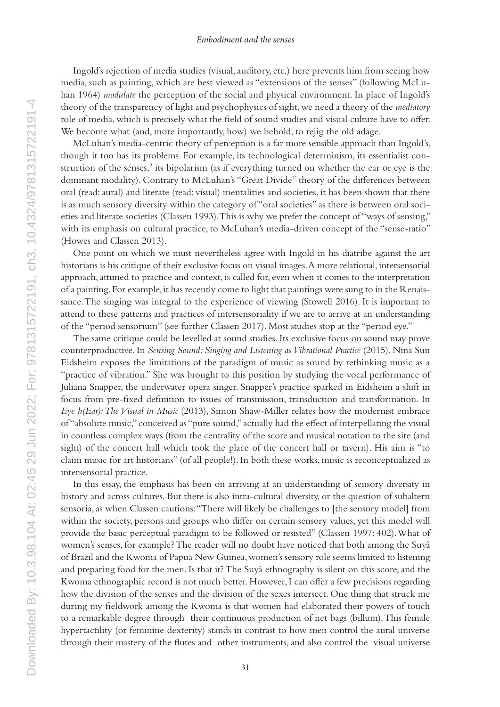#### *Embodiment and the senses*

Ingold's rejection of media studies (visual, auditory, etc.) here prevents him from seeing how media, such as painting, which are best viewed as "extensions of the senses" (following McLuhan 1964) *modulate* the perception of the social and physical environment. In place of Ingold's theory of the transparency of light and psychophysics of sight, we need a theory of the *mediatory* role of media, which is precisely what the field of sound studies and visual culture have to offer. We become what (and, more importantly, how) we behold, to rejig the old adage.

McLuhan's media-centric theory of perception is a far more sensible approach than Ingold's, though it too has its problems. For example, its technological determinism, its essentialist construction of the senses,<sup>2</sup> its bipolarism (as if everything turned on whether the ear or eye is the dominant modality). Contrary to McLuhan's "Great Divide" theory of the differences between oral (read: aural) and literate (read: visual) mentalities and societies, it has been shown that there is as much sensory diversity within the category of "oral societies" as there is between oral societies and literate societies (Classen 1993). This is why we prefer the concept of "ways of sensing," with its emphasis on cultural practice, to McLuhan's media-driven concept of the "sense-ratio" (Howes and Classen 2013).

One point on which we must nevertheless agree with Ingold in his diatribe against the art historians is his critique of their exclusive focus on visual images. A more relational, intersensorial approach, attuned to practice and context, is called for, even when it comes to the interpretation of a painting. For example, it has recently come to light that paintings were sung to in the Renaissance. The singing was integral to the experience of viewing (Stowell 2016). It is important to attend to these patterns and practices of intersensoriality if we are to arrive at an understanding of the "period sensorium" (see further Classen 2017). Most studies stop at the "period eye."

The same critique could be levelled at sound studies. Its exclusive focus on sound may prove counterproductive. In *Sensing Sound: Singing and Listening as Vibrational Practice* (2015), Nina Sun Eidsheim exposes the limitations of the paradigm of music as sound by rethinking music as a "practice of vibration." She was brought to this position by studying the vocal performance of Juliana Snapper, the underwater opera singer. Snapper's practice sparked in Eidsheim a shift in focus from pre-fixed definition to issues of transmission, transduction and transformation. In *Eye h(Ear): The Visual in Music* (2013), Simon Shaw-Miller relates how the modernist embrace of "absolute music," conceived as "pure sound," actually had the effect of interpellating the visual in countless complex ways (from the centrality of the score and musical notation to the site (and sight) of the concert hall which took the place of the concert hall or tavern). His aim is "to claim music for art historians" (of all people!). In both these works, music is reconceptualized as intersensorial practice.

In this essay, the emphasis has been on arriving at an understanding of sensory diversity in history and across cultures. But there is also intra-cultural diversity, or the question of subaltern sensoria, as when Classen cautions: "There will likely be challenges to [the sensory model] from within the society, persons and groups who differ on certain sensory values, yet this model will provide the basic perceptual paradigm to be followed or resisted" (Classen 1997: 402). What of women's senses, for example? The reader will no doubt have noticed that both among the Suyà of Brazil and the Kwoma of Papua New Guinea, women's sensory role seems limited to listening and preparing food for the men. Is that it? The Suyà ethnography is silent on this score, and the Kwoma ethnographic record is not much better. However, I can offer a few precisions regarding how the division of the senses and the division of the sexes intersect. One thing that struck me during my fieldwork among the Kwoma is that women had elaborated their powers of touch to a remarkable degree through their continuous production of net bags (billum). This female hypertactility (or feminine dexterity) stands in contrast to how men control the aural universe through their mastery of the flutes and other instruments, and also control the visual universe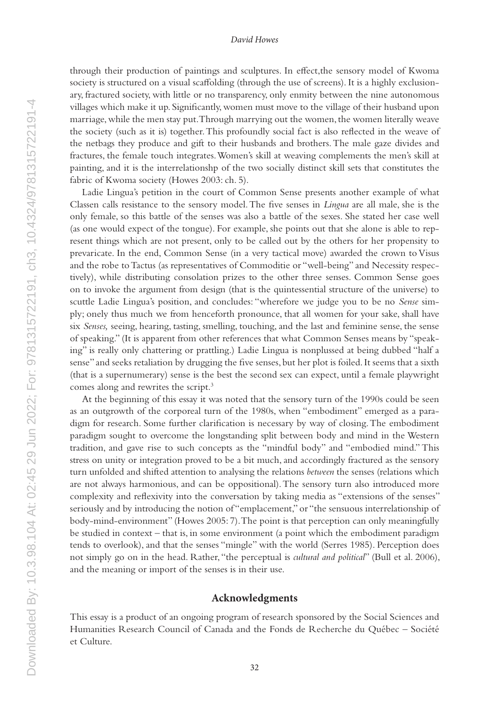through their production of paintings and sculptures. In effect,the sensory model of Kwoma society is structured on a visual scaffolding (through the use of screens). It is a highly exclusionary, fractured society, with little or no transparency, only enmity between the nine autonomous villages which make it up. Significantly, women must move to the village of their husband upon marriage, while the men stay put. Through marrying out the women, the women literally weave the society (such as it is) together. This profoundly social fact is also reflected in the weave of the netbags they produce and gift to their husbands and brothers. The male gaze divides and fractures, the female touch integrates. Women's skill at weaving complements the men's skill at painting, and it is the interrelationshp of the two socially distinct skill sets that constitutes the fabric of Kwoma society (Howes 2003: ch. 5).

Ladie Lingua's petition in the court of Common Sense presents another example of what Classen calls resistance to the sensory model. The five senses in *Lingua* are all male, she is the only female, so this battle of the senses was also a battle of the sexes. She stated her case well (as one would expect of the tongue). For example, she points out that she alone is able to represent things which are not present, only to be called out by the others for her propensity to prevaricate. In the end, Common Sense (in a very tactical move) awarded the crown to Visus and the robe to Tactus (as representatives of Commoditie or "well-being" and Necessity respectively), while distributing consolation prizes to the other three senses. Common Sense goes on to invoke the argument from design (that is the quintessential structure of the universe) to scuttle Ladie Lingua's position, and concludes: "wherefore we judge you to be no *Sense* simply; onely thus much we from henceforth pronounce, that all women for your sake, shall have six *Senses,* seeing, hearing, tasting, smelling, touching, and the last and feminine sense, the sense of speaking." (It is apparent from other references that what Common Senses means by "speaking" is really only chattering or prattling.) Ladie Lingua is nonplussed at being dubbed "half a sense" and seeks retaliation by drugging the five senses, but her plot is foiled. It seems that a sixth (that is a supernumerary) sense is the best the second sex can expect, until a female playwright comes along and rewrites the script.3

At the beginning of this essay it was noted that the sensory turn of the 1990s could be seen as an outgrowth of the corporeal turn of the 1980s, when "embodiment" emerged as a paradigm for research. Some further clarification is necessary by way of closing. The embodiment paradigm sought to overcome the longstanding split between body and mind in the Western tradition, and gave rise to such concepts as the "mindful body" and "embodied mind." This stress on unity or integration proved to be a bit much, and accordingly fractured as the sensory turn unfolded and shifted attention to analysing the relations *between* the senses (relations which are not always harmonious, and can be oppositional). The sensory turn also introduced more complexity and reflexivity into the conversation by taking media as "extensions of the senses" seriously and by introducing the notion of "emplacement," or "the sensuous interrelationship of body-mind-environment" (Howes 2005: 7). The point is that perception can only meaningfully be studied in context – that is, in some environment (a point which the embodiment paradigm tends to overlook), and that the senses "mingle" with the world (Serres 1985). Perception does not simply go on in the head. Rather, "the perceptual is *cultural and political*" (Bull et al. 2006), and the meaning or import of the senses is in their use.

## **Acknowledgments**

This essay is a product of an ongoing program of research sponsored by the Social Sciences and Humanities Research Council of Canada and the Fonds de Recherche du Québec – Société et Culture.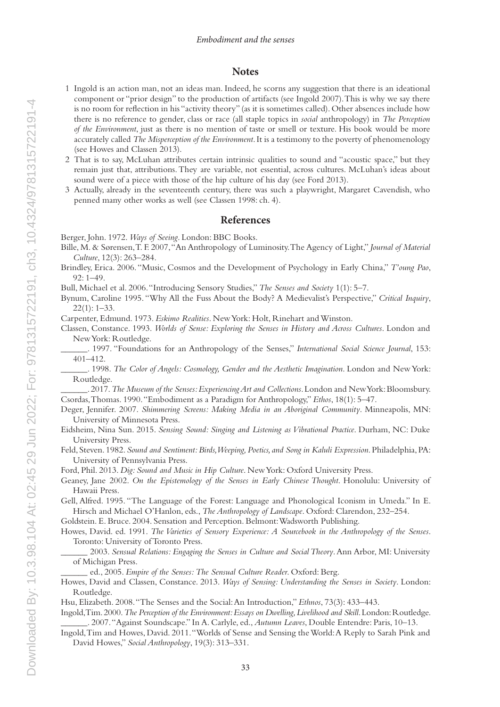## **Notes**

- 1 Ingold is an action man, not an ideas man. Indeed, he scorns any suggestion that there is an ideational component or "prior design" to the production of artifacts (see Ingold 2007). This is why we say there is no room for reflection in his "activity theory" (as it is sometimes called). Other absences include how there is no reference to gender, class or race (all staple topics in *social* anthropology) in *The Perception of the Environment*, just as there is no mention of taste or smell or texture. His book would be more accurately called *The Misperception of the Environment*. It is a testimony to the poverty of phenomenology (see Howes and Classen 2013).
- 2 That is to say, McLuhan attributes certain intrinsic qualities to sound and "acoustic space," but they remain just that, attributions. They are variable, not essential, across cultures. McLuhan's ideas about sound were of a piece with those of the hip culture of his day (see Ford 2013).
- 3 Actually, already in the seventeenth century, there was such a playwright, Margaret Cavendish, who penned many other works as well (see Classen 1998: ch. 4).

### **References**

Berger, John. 1972. *Ways of Seeing*. London: BBC Books.

- Bille, M. & Sørensen, T. F. 2007, "An Anthropology of Luminosity. The Agency of Light," *Journal of Material Culture*, 12(3): 263–284.
- Brindley, Erica. 2006. "Music, Cosmos and the Development of Psychology in Early China," *T'oung Pao*, 92: 1–49.

Bull, Michael et al. 2006. "Introducing Sensory Studies," *The Senses and Society* 1(1): 5–7.

Bynum, Caroline 1995. "Why All the Fuss About the Body? A Medievalist's Perspective," *Critical Inquiry*, 22(1): 1–33.

Carpenter, Edmund. 1973. *Eskimo Realities*. New York: Holt, Rinehart and Winston.

- Classen, Constance. 1993. *Worlds of Sense: Exploring the Senses in History and Across Cultures*. London and New York: Routledge.
	- \_\_\_\_\_\_. 1997. "Foundations for an Anthropology of the Senses," *International Social Science Journal*, 153: 401–412.

\_\_\_\_\_\_. 1998. *The Color of Angels: Cosmology, Gender and the Aesthetic Imagination*. London and New York: Routledge.

\_\_\_\_\_\_. 2017. *The Museum of the Senses: Experiencing Art and Collections*. London and New York: Bloomsbury. Csordas, Thomas. 1990. "Embodiment as a Paradigm for Anthropology," *Ethos*, 18(1): 5–47.

Deger, Jennifer. 2007. *Shimmering Screens: Making Media in an Aboriginal Community*. Minneapolis, MN: University of Minnesota Press.

Eidsheim, Nina Sun. 2015. *Sensing Sound: Singing and Listening as Vibrational Practice*. Durham, NC: Duke University Press.

Feld, Steven. 1982. *Sound and Sentiment: Birds, Weeping, Poetics, and Song in Kaluli Expression*. Philadelphia, PA: University of Pennsylvania Press.

Ford, Phil. 2013. *Dig: Sound and Music in Hip Culture*. New York: Oxford University Press.

Geaney, Jane 2002. *On the Epistemology of the Senses in Early Chinese Thought*. Honolulu: University of Hawaii Press.

Gell, Alfred. 1995. "The Language of the Forest: Language and Phonological Iconism in Umeda." In E. Hirsch and Michael O'Hanlon, eds., *The Anthropology of Landscape*. Oxford: Clarendon, 232–254.

Goldstein. E. Bruce. 2004. Sensation and Perception. Belmont: Wadsworth Publishing.

Howes, David. ed. 1991. *The Varieties of Sensory Experience: A Sourcebook in the Anthropology of the Senses*. Toronto: University of Toronto Press.

\_\_\_\_\_\_ 2003. *Sensual Relations: Engaging the Senses in Culture and Social Theory*. Ann Arbor, MI: University of Michigan Press.

\_\_\_\_\_\_ ed., 2005. *Empire of the Senses: The Sensual Culture Reader*. Oxford: Berg.

Howes, David and Classen, Constance. 2013. *Ways of Sensing: Understanding the Senses in Society*. London: Routledge.

Hsu, Elizabeth. 2008. "The Senses and the Social: An Introduction," *Ethnos*, 73(3): 433–443.

- Ingold, Tim. 2000. *The Perception of the Environment: Essays on Dwelling, Livelihood and Skill*. London: Routledge. \_\_\_\_\_\_. 2007. "Against Soundscape." In A. Carlyle, ed., *Autumn Leaves*, Double Entendre: Paris, 10–13.
- Ingold, Tim and Howes, David. 2011. "Worlds of Sense and Sensing the World: A Reply to Sarah Pink and David Howes," *Social Anthropology*, 19(3): 313–331.